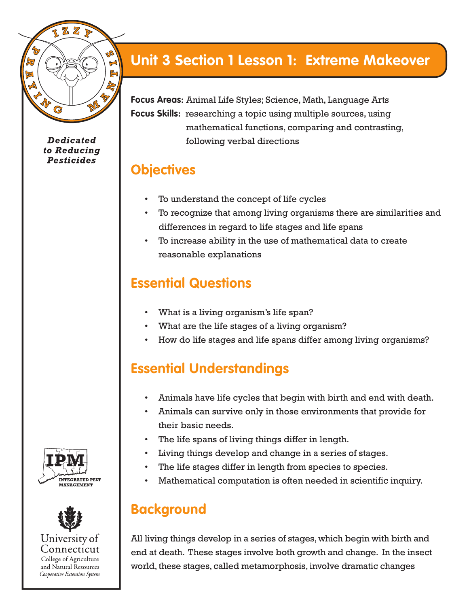

**Dedicated** to Reducing **Pesticides** 

# **Unit 3 Section 1 Lesson 1: Extreme Makeover**

**Focus Areas:** Animal Life Styles; Science, Math, Language Arts **Focus Skills:** researching a topic using multiple sources, using mathematical functions, comparing and contrasting, following verbal directions

## **Objectives**

- To understand the concept of life cycles
- To recognize that among living organisms there are similarities and differences in regard to life stages and life spans
- To increase ability in the use of mathematical data to create reasonable explanations

# **Essential Questions**

- What is a living organism's life span?
- What are the life stages of a living organism?
- How do life stages and life spans differ among living organisms?

# **Essential Understandings**

- Animals have life cycles that begin with birth and end with death.
- Animals can survive only in those environments that provide for their basic needs.
- The life spans of living things differ in length.
- Living things develop and change in a series of stages.
- The life stages differ in length from species to species.
- Mathematical computation is often needed in scientific inquiry.

# **Background**

All living things develop in a series of stages, which begin with birth and end at death. These stages involve both growth and change. In the insect world, these stages, called metamorphosis, involve dramatic changes



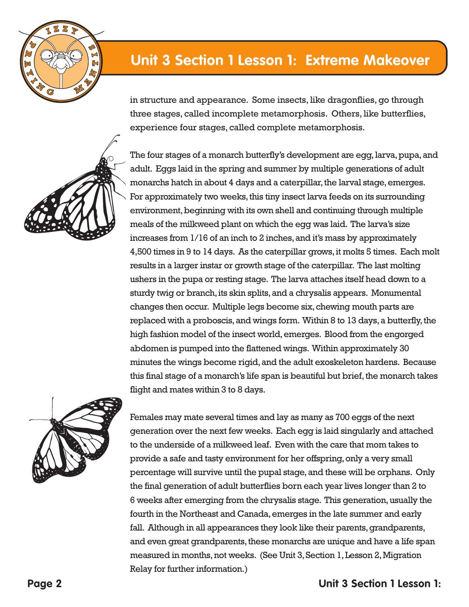

in structure and appearance. Some insects, like dragonflies, go through three stages, called incomplete metamorphosis. Others, like butterflies, experience four stages, called complete metamorphosis.





Females may mate several times and lay as many as 700 eggs of the next generation over the next few weeks. Each egg is laid singularly and attached to the underside of a milkweed leaf. Even with the care that mom takes to provide a safe and tasty environment for her offspring, only a very small percentage will survive until the pupal stage, and these will be orphans. Only the final generation of adult butterflies born each year lives longer than 2 to 6 weeks after emerging from the chrysalis stage. This generation, usually the fourth in the Northeast and Canada, emerges in the late summer and early fall. Although in all appearances they look like their parents, grandparents, and even great grandparents, these monarchs are unique and have a life span measured in months, not weeks. (See Unit 3, Section 1, Lesson 2, Migration Relay for further information.)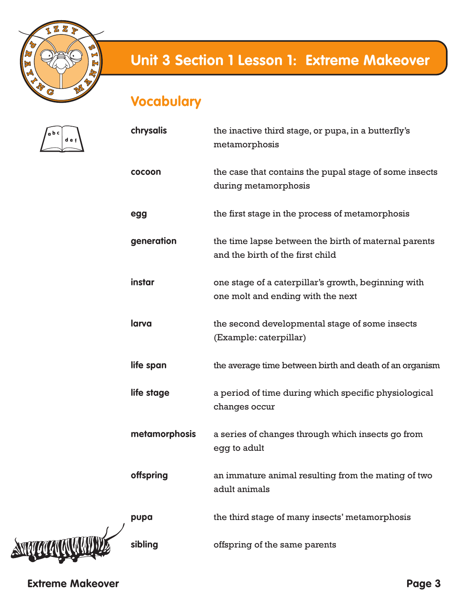

# **Vocabulary**



| chrysalis     | the inactive third stage, or pupa, in a butterfly's<br>metamorphosis                     |
|---------------|------------------------------------------------------------------------------------------|
| cocoon        | the case that contains the pupal stage of some insects<br>during metamorphosis           |
| egg           | the first stage in the process of metamorphosis                                          |
| generation    | the time lapse between the birth of maternal parents<br>and the birth of the first child |
| instar        | one stage of a caterpillar's growth, beginning with<br>one molt and ending with the next |
| larva         | the second developmental stage of some insects<br>(Example: caterpillar)                 |
| life span     | the average time between birth and death of an organism                                  |
| life stage    | a period of time during which specific physiological<br>changes occur                    |
| metamorphosis | a series of changes through which insects go from<br>egg to adult                        |
| offspring     | an immature animal resulting from the mating of two<br>adult animals                     |
| pupa          | the third stage of many insects' metamorphosis                                           |
| sibling       | offspring of the same parents                                                            |

**Extreme Makeover**

**STIPLE LA COMPANY**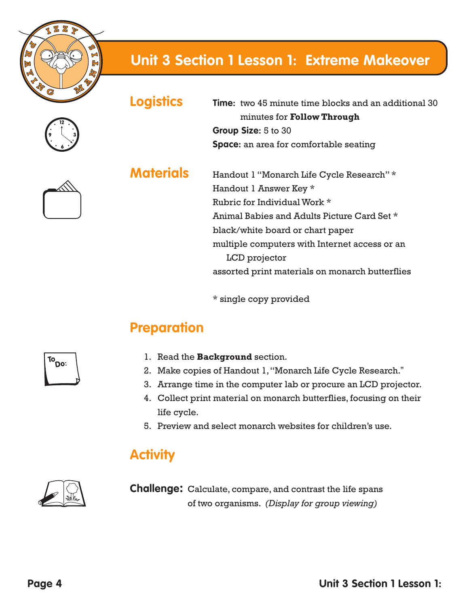



**Logistics Time:** two 45 minute time blocks and an additional 30 minutes for **Follow Through Group Size:** 5 to 30 **Space:** an area for comfortable seating

**Materials** Handout 1 "Monarch Life Cycle Research" \* Handout 1 Answer Key \* Rubric for Individual Work \* Animal Babies and Adults Picture Card Set \* black/white board or chart paper multiple computers with Internet access or an LCD projector assorted print materials on monarch butterflies

\* single copy provided

# **Preparation**

- 1. Read the **Background** section.
- 2. Make copies of Handout 1, "Monarch Life Cycle Research."
- 3. Arrange time in the computer lab or procure an LCD projector.
- 4. Collect print material on monarch butterflies, focusing on their life cycle.
- 5. Preview and select monarch websites for children's use.

## **Activity**



**Challenge:** Calculate, compare, and contrast the life spans of two organisms. *(Display for group viewing)*

 $T^{\circ}$ Do: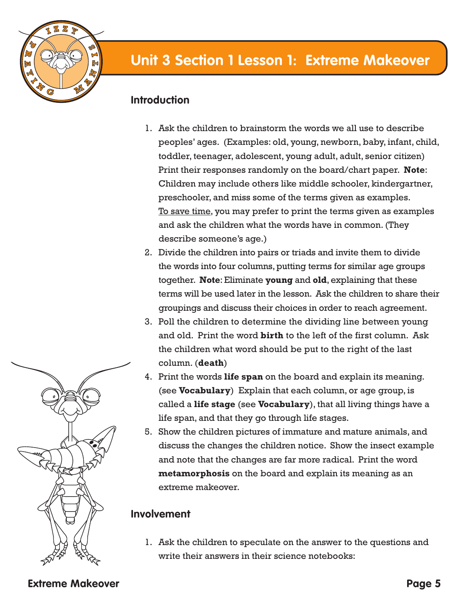

### **Introduction**

- 1. Ask the children to brainstorm the words we all use to describe peoples' ages. (Examples: old, young, newborn, baby, infant, child, toddler, teenager, adolescent, young adult, adult, senior citizen) Print their responses randomly on the board/chart paper. **Note**: Children may include others like middle schooler, kindergartner, preschooler, and miss some of the terms given as examples. To save time, you may prefer to print the terms given as examples and ask the children what the words have in common. (They describe someone's age.)
- 2. Divide the children into pairs or triads and invite them to divide the words into four columns, putting terms for similar age groups together. **Note**: Eliminate **young** and **old**, explaining that these terms will be used later in the lesson. Ask the children to share their groupings and discuss their choices in order to reach agreement.
- 3. Poll the children to determine the dividing line between young and old. Print the word **birth** to the left of the first column. Ask the children what word should be put to the right of the last column. (**death**)
- 4. Print the words **life span** on the board and explain its meaning. (see **Vocabulary**) Explain that each column, or age group, is called a **life stage** (see **Vocabulary**), that all living things have a life span, and that they go through life stages.
- 5. Show the children pictures of immature and mature animals, and discuss the changes the children notice. Show the insect example and note that the changes are far more radical. Print the word **metamorphosis** on the board and explain its meaning as an extreme makeover.

### **Involvement**

1. Ask the children to speculate on the answer to the questions and write their answers in their science notebooks:



**Extreme Makeover**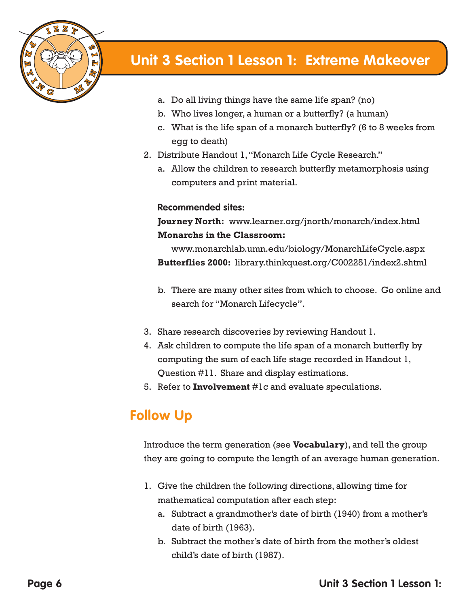

- a. Do all living things have the same life span? (no)
- b. Who lives longer, a human or a butterfly? (a human)
- c. What is the life span of a monarch butterfly? (6 to 8 weeks from egg to death)
- 2. Distribute Handout 1, "Monarch Life Cycle Research."
	- a. Allow the children to research butterfly metamorphosis using computers and print material.

#### **Recommended sites:**

**Journey North:** www.learner.org/jnorth/monarch/index.html **Monarchs in the Classroom:** 

www.monarchlab.umn.edu/biology/MonarchLifeCycle.aspx **Butterflies 2000:** library.thinkquest.org/C002251/index2.shtml

- b. There are many other sites from which to choose. Go online and search for "Monarch Lifecycle".
- 3. Share research discoveries by reviewing Handout 1.
- 4. Ask children to compute the life span of a monarch butterfly by computing the sum of each life stage recorded in Handout 1, Question #11. Share and display estimations.
- 5. Refer to **Involvement** #1c and evaluate speculations.

## **Follow Up**

Introduce the term generation (see **Vocabulary**), and tell the group they are going to compute the length of an average human generation.

- 1. Give the children the following directions, allowing time for mathematical computation after each step:
	- a. Subtract a grandmother's date of birth (1940) from a mother's date of birth (1963).
	- b. Subtract the mother's date of birth from the mother's oldest child's date of birth (1987).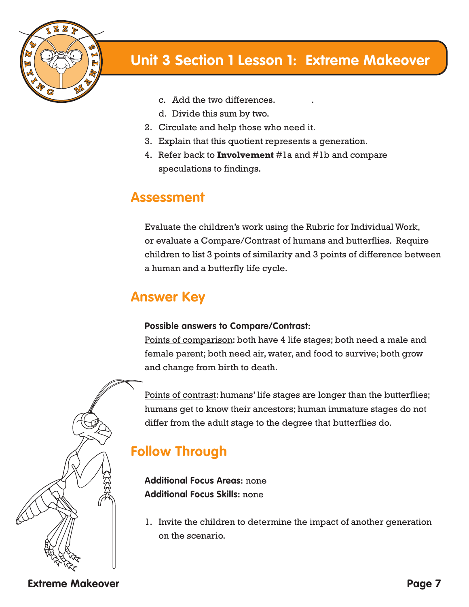

- c. Add the two differences. .
- d. Divide this sum by two.
- 2. Circulate and help those who need it.
- 3. Explain that this quotient represents a generation.
- 4. Refer back to **Involvement** #1a and #1b and compare speculations to findings.

## **Assessment**

Evaluate the children's work using the Rubric for Individual Work, or evaluate a Compare/Contrast of humans and butterflies. Require children to list 3 points of similarity and 3 points of difference between a human and a butterfly life cycle.

## **Answer Key**

#### **Possible answers to Compare/Contrast:**

Points of comparison: both have 4 life stages; both need a male and female parent; both need air, water, and food to survive; both grow and change from birth to death.

Points of contrast: humans' life stages are longer than the butterflies; humans get to know their ancestors; human immature stages do not differ from the adult stage to the degree that butterflies do.

# **Follow Through**

**Additional Focus Areas:** none **Additional Focus Skills:** none

1. Invite the children to determine the impact of another generation on the scenario.

**Extreme Makeover**